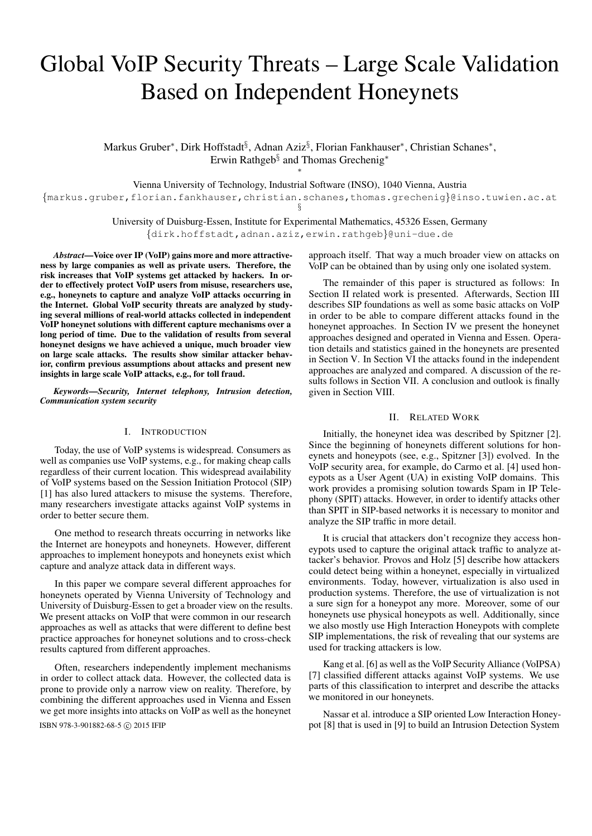# Global VoIP Security Threats – Large Scale Validation Based on Independent Honeynets

Markus Gruber\*, Dirk Hoffstadt<sup>§</sup>, Adnan Aziz<sup>§</sup>, Florian Fankhauser\*, Christian Schanes\*, Erwin Rathgeb§ and Thomas Grechenig<sup>∗</sup> ∗

Vienna University of Technology, Industrial Software (INSO), 1040 Vienna, Austria

{markus.gruber,florian.fankhauser,christian.schanes,thomas.grechenig}@inso.tuwien.ac.at §

> University of Duisburg-Essen, Institute for Experimental Mathematics, 45326 Essen, Germany {dirk.hoffstadt,adnan.aziz,erwin.rathgeb}@uni-due.de

*Abstract*—Voice over IP (VoIP) gains more and more attractiveness by large companies as well as private users. Therefore, the risk increases that VoIP systems get attacked by hackers. In order to effectively protect VoIP users from misuse, researchers use, e.g., honeynets to capture and analyze VoIP attacks occurring in the Internet. Global VoIP security threats are analyzed by studying several millions of real-world attacks collected in independent VoIP honeynet solutions with different capture mechanisms over a long period of time. Due to the validation of results from several honeynet designs we have achieved a unique, much broader view on large scale attacks. The results show similar attacker behavior, confirm previous assumptions about attacks and present new insights in large scale VoIP attacks, e.g., for toll fraud.

*Keywords*—*Security, Internet telephony, Intrusion detection, Communication system security*

## I. INTRODUCTION

Today, the use of VoIP systems is widespread. Consumers as well as companies use VoIP systems, e.g., for making cheap calls regardless of their current location. This widespread availability of VoIP systems based on the Session Initiation Protocol (SIP) [1] has also lured attackers to misuse the systems. Therefore, many researchers investigate attacks against VoIP systems in order to better secure them.

One method to research threats occurring in networks like the Internet are honeypots and honeynets. However, different approaches to implement honeypots and honeynets exist which capture and analyze attack data in different ways.

In this paper we compare several different approaches for honeynets operated by Vienna University of Technology and University of Duisburg-Essen to get a broader view on the results. We present attacks on VoIP that were common in our research approaches as well as attacks that were different to define best practice approaches for honeynet solutions and to cross-check results captured from different approaches.

Often, researchers independently implement mechanisms in order to collect attack data. However, the collected data is prone to provide only a narrow view on reality. Therefore, by combining the different approaches used in Vienna and Essen we get more insights into attacks on VoIP as well as the honeynet

approach itself. That way a much broader view on attacks on VoIP can be obtained than by using only one isolated system.

The remainder of this paper is structured as follows: In Section II related work is presented. Afterwards, Section III describes SIP foundations as well as some basic attacks on VoIP in order to be able to compare different attacks found in the honeynet approaches. In Section IV we present the honeynet approaches designed and operated in Vienna and Essen. Operation details and statistics gained in the honeynets are presented in Section V. In Section VI the attacks found in the independent approaches are analyzed and compared. A discussion of the results follows in Section VII. A conclusion and outlook is finally given in Section VIII.

### II. RELATED WORK

Initially, the honeynet idea was described by Spitzner [2]. Since the beginning of honeynets different solutions for honeynets and honeypots (see, e.g., Spitzner [3]) evolved. In the VoIP security area, for example, do Carmo et al. [4] used honeypots as a User Agent (UA) in existing VoIP domains. This work provides a promising solution towards Spam in IP Telephony (SPIT) attacks. However, in order to identify attacks other than SPIT in SIP-based networks it is necessary to monitor and analyze the SIP traffic in more detail.

It is crucial that attackers don't recognize they access honeypots used to capture the original attack traffic to analyze attacker's behavior. Provos and Holz [5] describe how attackers could detect being within a honeynet, especially in virtualized environments. Today, however, virtualization is also used in production systems. Therefore, the use of virtualization is not a sure sign for a honeypot any more. Moreover, some of our honeynets use physical honeypots as well. Additionally, since we also mostly use High Interaction Honeypots with complete SIP implementations, the risk of revealing that our systems are used for tracking attackers is low.

Kang et al. [6] as well as the VoIP Security Alliance (VoIPSA) [7] classified different attacks against VoIP systems. We use parts of this classification to interpret and describe the attacks we monitored in our honeynets.

Nassar et al. introduce a SIP oriented Low Interaction Honey-ISBN 978-3-901882-68-5 c 2015 IFIP pot [8] that is used in [9] to build an Intrusion Detection System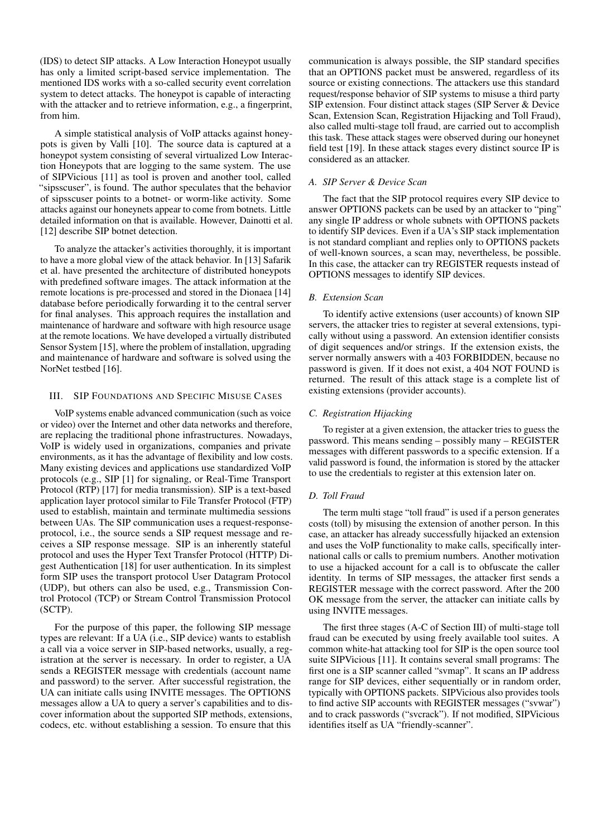(IDS) to detect SIP attacks. A Low Interaction Honeypot usually has only a limited script-based service implementation. The mentioned IDS works with a so-called security event correlation system to detect attacks. The honeypot is capable of interacting with the attacker and to retrieve information, e.g., a fingerprint, from him.

A simple statistical analysis of VoIP attacks against honeypots is given by Valli [10]. The source data is captured at a honeypot system consisting of several virtualized Low Interaction Honeypots that are logging to the same system. The use of SIPVicious [11] as tool is proven and another tool, called "sipsscuser", is found. The author speculates that the behavior of sipsscuser points to a botnet- or worm-like activity. Some attacks against our honeynets appear to come from botnets. Little detailed information on that is available. However, Dainotti et al. [12] describe SIP botnet detection.

To analyze the attacker's activities thoroughly, it is important to have a more global view of the attack behavior. In [13] Safarik et al. have presented the architecture of distributed honeypots with predefined software images. The attack information at the remote locations is pre-processed and stored in the Dionaea [14] database before periodically forwarding it to the central server for final analyses. This approach requires the installation and maintenance of hardware and software with high resource usage at the remote locations. We have developed a virtually distributed Sensor System [15], where the problem of installation, upgrading and maintenance of hardware and software is solved using the NorNet testbed [16].

# III. SIP FOUNDATIONS AND SPECIFIC MISUSE CASES

VoIP systems enable advanced communication (such as voice or video) over the Internet and other data networks and therefore, are replacing the traditional phone infrastructures. Nowadays, VoIP is widely used in organizations, companies and private environments, as it has the advantage of flexibility and low costs. Many existing devices and applications use standardized VoIP protocols (e.g., SIP [1] for signaling, or Real-Time Transport Protocol (RTP) [17] for media transmission). SIP is a text-based application layer protocol similar to File Transfer Protocol (FTP) used to establish, maintain and terminate multimedia sessions between UAs. The SIP communication uses a request-responseprotocol, i.e., the source sends a SIP request message and receives a SIP response message. SIP is an inherently stateful protocol and uses the Hyper Text Transfer Protocol (HTTP) Digest Authentication [18] for user authentication. In its simplest form SIP uses the transport protocol User Datagram Protocol (UDP), but others can also be used, e.g., Transmission Control Protocol (TCP) or Stream Control Transmission Protocol (SCTP).

For the purpose of this paper, the following SIP message types are relevant: If a UA (i.e., SIP device) wants to establish a call via a voice server in SIP-based networks, usually, a registration at the server is necessary. In order to register, a UA sends a REGISTER message with credentials (account name and password) to the server. After successful registration, the UA can initiate calls using INVITE messages. The OPTIONS messages allow a UA to query a server's capabilities and to discover information about the supported SIP methods, extensions, codecs, etc. without establishing a session. To ensure that this communication is always possible, the SIP standard specifies that an OPTIONS packet must be answered, regardless of its source or existing connections. The attackers use this standard request/response behavior of SIP systems to misuse a third party SIP extension. Four distinct attack stages (SIP Server & Device Scan, Extension Scan, Registration Hijacking and Toll Fraud), also called multi-stage toll fraud, are carried out to accomplish this task. These attack stages were observed during our honeynet field test [19]. In these attack stages every distinct source IP is considered as an attacker.

# *A. SIP Server & Device Scan*

The fact that the SIP protocol requires every SIP device to answer OPTIONS packets can be used by an attacker to "ping" any single IP address or whole subnets with OPTIONS packets to identify SIP devices. Even if a UA's SIP stack implementation is not standard compliant and replies only to OPTIONS packets of well-known sources, a scan may, nevertheless, be possible. In this case, the attacker can try REGISTER requests instead of OPTIONS messages to identify SIP devices.

# *B. Extension Scan*

To identify active extensions (user accounts) of known SIP servers, the attacker tries to register at several extensions, typically without using a password. An extension identifier consists of digit sequences and/or strings. If the extension exists, the server normally answers with a 403 FORBIDDEN, because no password is given. If it does not exist, a 404 NOT FOUND is returned. The result of this attack stage is a complete list of existing extensions (provider accounts).

### *C. Registration Hijacking*

To register at a given extension, the attacker tries to guess the password. This means sending – possibly many – REGISTER messages with different passwords to a specific extension. If a valid password is found, the information is stored by the attacker to use the credentials to register at this extension later on.

#### *D. Toll Fraud*

The term multi stage "toll fraud" is used if a person generates costs (toll) by misusing the extension of another person. In this case, an attacker has already successfully hijacked an extension and uses the VoIP functionality to make calls, specifically international calls or calls to premium numbers. Another motivation to use a hijacked account for a call is to obfuscate the caller identity. In terms of SIP messages, the attacker first sends a REGISTER message with the correct password. After the 200 OK message from the server, the attacker can initiate calls by using INVITE messages.

The first three stages (A-C of Section III) of multi-stage toll fraud can be executed by using freely available tool suites. A common white-hat attacking tool for SIP is the open source tool suite SIPVicious [11]. It contains several small programs: The first one is a SIP scanner called "svmap". It scans an IP address range for SIP devices, either sequentially or in random order, typically with OPTIONS packets. SIPVicious also provides tools to find active SIP accounts with REGISTER messages ("svwar") and to crack passwords ("svcrack"). If not modified, SIPVicious identifies itself as UA "friendly-scanner".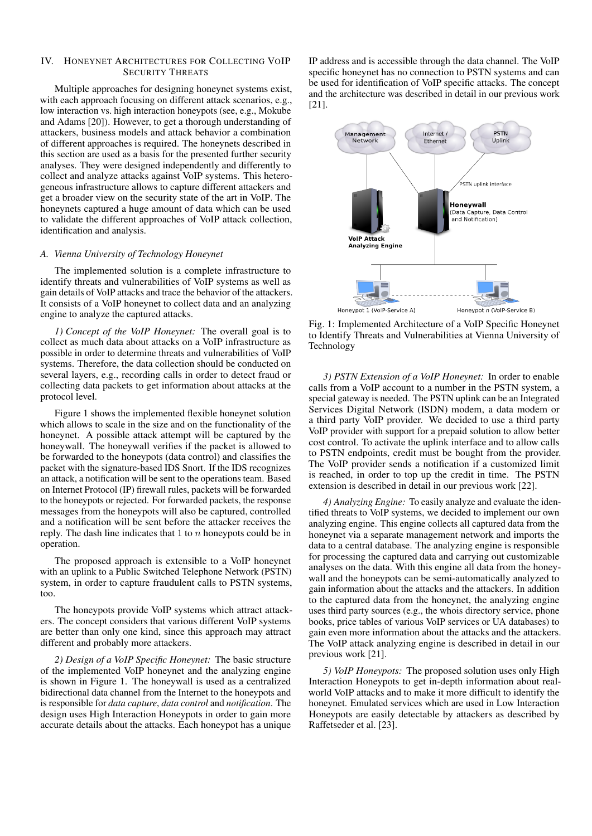# IV. HONEYNET ARCHITECTURES FOR COLLECTING VOIP SECURITY THREATS

Multiple approaches for designing honeynet systems exist, with each approach focusing on different attack scenarios, e.g., low interaction vs. high interaction honeypots (see, e.g., Mokube and Adams [20]). However, to get a thorough understanding of attackers, business models and attack behavior a combination of different approaches is required. The honeynets described in this section are used as a basis for the presented further security analyses. They were designed independently and differently to collect and analyze attacks against VoIP systems. This heterogeneous infrastructure allows to capture different attackers and get a broader view on the security state of the art in VoIP. The honeynets captured a huge amount of data which can be used to validate the different approaches of VoIP attack collection, identification and analysis.

# *A. Vienna University of Technology Honeynet*

The implemented solution is a complete infrastructure to identify threats and vulnerabilities of VoIP systems as well as gain details of VoIP attacks and trace the behavior of the attackers. It consists of a VoIP honeynet to collect data and an analyzing engine to analyze the captured attacks.

*1) Concept of the VoIP Honeynet:* The overall goal is to collect as much data about attacks on a VoIP infrastructure as possible in order to determine threats and vulnerabilities of VoIP systems. Therefore, the data collection should be conducted on several layers, e.g., recording calls in order to detect fraud or collecting data packets to get information about attacks at the protocol level.

Figure 1 shows the implemented flexible honeynet solution which allows to scale in the size and on the functionality of the honeynet. A possible attack attempt will be captured by the honeywall. The honeywall verifies if the packet is allowed to be forwarded to the honeypots (data control) and classifies the packet with the signature-based IDS Snort. If the IDS recognizes an attack, a notification will be sent to the operations team. Based on Internet Protocol (IP) firewall rules, packets will be forwarded to the honeypots or rejected. For forwarded packets, the response messages from the honeypots will also be captured, controlled and a notification will be sent before the attacker receives the reply. The dash line indicates that  $1$  to  $n$  honeypots could be in operation.

The proposed approach is extensible to a VoIP honeynet with an uplink to a Public Switched Telephone Network (PSTN) system, in order to capture fraudulent calls to PSTN systems, too.

The honeypots provide VoIP systems which attract attackers. The concept considers that various different VoIP systems are better than only one kind, since this approach may attract different and probably more attackers.

*2) Design of a VoIP Specific Honeynet:* The basic structure of the implemented VoIP honeynet and the analyzing engine is shown in Figure 1. The honeywall is used as a centralized bidirectional data channel from the Internet to the honeypots and is responsible for *data capture*, *data control* and *notification*. The design uses High Interaction Honeypots in order to gain more accurate details about the attacks. Each honeypot has a unique IP address and is accessible through the data channel. The VoIP specific honeynet has no connection to PSTN systems and can be used for identification of VoIP specific attacks. The concept and the architecture was described in detail in our previous work [21].



Fig. 1: Implemented Architecture of a VoIP Specific Honeynet to Identify Threats and Vulnerabilities at Vienna University of Technology

*3) PSTN Extension of a VoIP Honeynet:* In order to enable calls from a VoIP account to a number in the PSTN system, a special gateway is needed. The PSTN uplink can be an Integrated Services Digital Network (ISDN) modem, a data modem or a third party VoIP provider. We decided to use a third party VoIP provider with support for a prepaid solution to allow better cost control. To activate the uplink interface and to allow calls to PSTN endpoints, credit must be bought from the provider. The VoIP provider sends a notification if a customized limit is reached, in order to top up the credit in time. The PSTN extension is described in detail in our previous work [22].

*4) Analyzing Engine:* To easily analyze and evaluate the identified threats to VoIP systems, we decided to implement our own analyzing engine. This engine collects all captured data from the honeynet via a separate management network and imports the data to a central database. The analyzing engine is responsible for processing the captured data and carrying out customizable analyses on the data. With this engine all data from the honeywall and the honeypots can be semi-automatically analyzed to gain information about the attacks and the attackers. In addition to the captured data from the honeynet, the analyzing engine uses third party sources (e.g., the whois directory service, phone books, price tables of various VoIP services or UA databases) to gain even more information about the attacks and the attackers. The VoIP attack analyzing engine is described in detail in our previous work [21].

*5) VoIP Honeypots:* The proposed solution uses only High Interaction Honeypots to get in-depth information about realworld VoIP attacks and to make it more difficult to identify the honeynet. Emulated services which are used in Low Interaction Honeypots are easily detectable by attackers as described by Raffetseder et al. [23].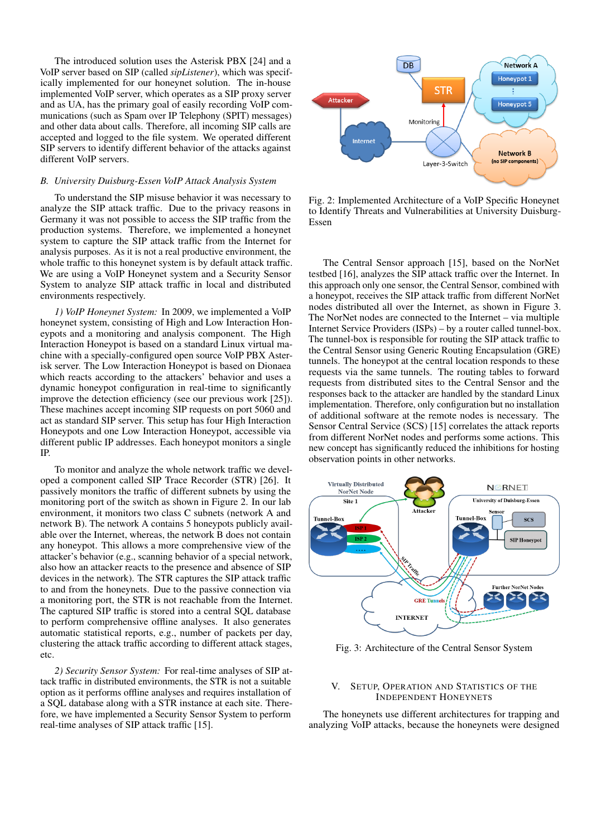The introduced solution uses the Asterisk PBX [24] and a VoIP server based on SIP (called *sipListener*), which was specifically implemented for our honeynet solution. The in-house implemented VoIP server, which operates as a SIP proxy server and as UA, has the primary goal of easily recording VoIP communications (such as Spam over IP Telephony (SPIT) messages) and other data about calls. Therefore, all incoming SIP calls are accepted and logged to the file system. We operated different SIP servers to identify different behavior of the attacks against different VoIP servers.

# *B. University Duisburg-Essen VoIP Attack Analysis System*

To understand the SIP misuse behavior it was necessary to analyze the SIP attack traffic. Due to the privacy reasons in Germany it was not possible to access the SIP traffic from the production systems. Therefore, we implemented a honeynet system to capture the SIP attack traffic from the Internet for analysis purposes. As it is not a real productive environment, the whole traffic to this honeynet system is by default attack traffic. We are using a VoIP Honeynet system and a Security Sensor System to analyze SIP attack traffic in local and distributed environments respectively.

*1) VoIP Honeynet System:* In 2009, we implemented a VoIP honeynet system, consisting of High and Low Interaction Honeypots and a monitoring and analysis component. The High Interaction Honeypot is based on a standard Linux virtual machine with a specially-configured open source VoIP PBX Asterisk server. The Low Interaction Honeypot is based on Dionaea which reacts according to the attackers' behavior and uses a dynamic honeypot configuration in real-time to significantly improve the detection efficiency (see our previous work [25]). These machines accept incoming SIP requests on port 5060 and act as standard SIP server. This setup has four High Interaction Honeypots and one Low Interaction Honeypot, accessible via different public IP addresses. Each honeypot monitors a single IP.

To monitor and analyze the whole network traffic we developed a component called SIP Trace Recorder (STR) [26]. It passively monitors the traffic of different subnets by using the monitoring port of the switch as shown in Figure 2. In our lab environment, it monitors two class C subnets (network A and network B). The network A contains 5 honeypots publicly available over the Internet, whereas, the network B does not contain any honeypot. This allows a more comprehensive view of the attacker's behavior (e.g., scanning behavior of a special network, also how an attacker reacts to the presence and absence of SIP devices in the network). The STR captures the SIP attack traffic to and from the honeynets. Due to the passive connection via a monitoring port, the STR is not reachable from the Internet. The captured SIP traffic is stored into a central SQL database to perform comprehensive offline analyses. It also generates automatic statistical reports, e.g., number of packets per day, clustering the attack traffic according to different attack stages, etc.

*2) Security Sensor System:* For real-time analyses of SIP attack traffic in distributed environments, the STR is not a suitable option as it performs offline analyses and requires installation of a SQL database along with a STR instance at each site. Therefore, we have implemented a Security Sensor System to perform real-time analyses of SIP attack traffic [15].



Fig. 2: Implemented Architecture of a VoIP Specific Honeynet to Identify Threats and Vulnerabilities at University Duisburg-Essen

The Central Sensor approach [15], based on the NorNet testbed [16], analyzes the SIP attack traffic over the Internet. In this approach only one sensor, the Central Sensor, combined with a honeypot, receives the SIP attack traffic from different NorNet nodes distributed all over the Internet, as shown in Figure 3. The NorNet nodes are connected to the Internet – via multiple Internet Service Providers (ISPs) – by a router called tunnel-box. The tunnel-box is responsible for routing the SIP attack traffic to the Central Sensor using Generic Routing Encapsulation (GRE) tunnels. The honeypot at the central location responds to these requests via the same tunnels. The routing tables to forward requests from distributed sites to the Central Sensor and the responses back to the attacker are handled by the standard Linux implementation. Therefore, only configuration but no installation of additional software at the remote nodes is necessary. The Sensor Central Service (SCS) [15] correlates the attack reports from different NorNet nodes and performs some actions. This new concept has significantly reduced the inhibitions for hosting observation points in other networks.



Fig. 3: Architecture of the Central Sensor System

# V. SETUP, OPERATION AND STATISTICS OF THE INDEPENDENT HONEYNETS

The honeynets use different architectures for trapping and analyzing VoIP attacks, because the honeynets were designed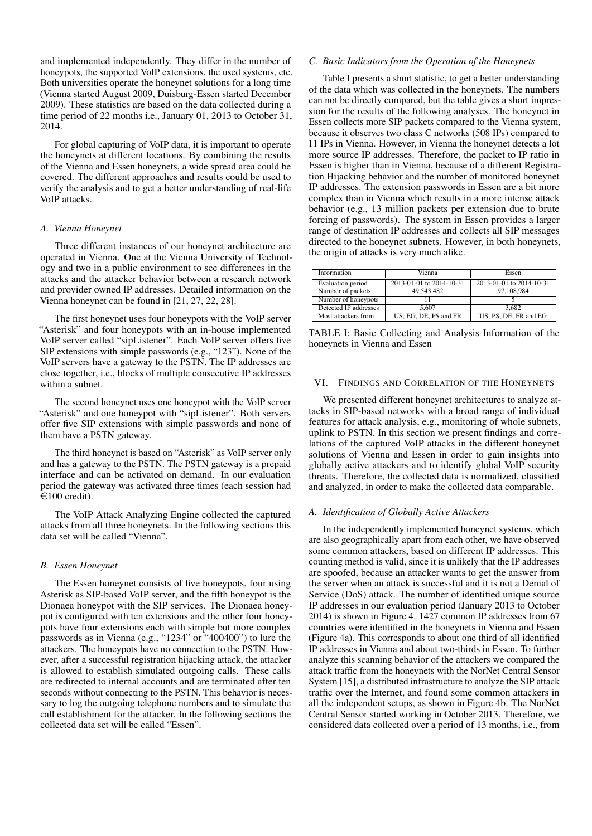and implemented independently. They differ in the number of honeypots, the supported VoIP extensions, the used systems, etc. Both universities operate the honeynet solutions for a long time (Vienna started August 2009, Duisburg-Essen started December 2009). These statistics are based on the data collected during a time period of 22 months i.e., January 01, 2013 to October 31, 2014.

For global capturing of VoIP data, it is important to operate the honeynets at different locations. By combining the results of the Vienna and Essen honeynets, a wide spread area could be covered. The different approaches and results could be used to verify the analysis and to get a better understanding of real-life VoIP attacks.

# *A. Vienna Honeynet*

Three different instances of our honeynet architecture are operated in Vienna. One at the Vienna University of Technology and two in a public environment to see differences in the attacks and the attacker behavior between a research network and provider owned IP addresses. Detailed information on the Vienna honeynet can be found in [21, 27, 22, 28].

The first honeynet uses four honeypots with the VoIP server "Asterisk" and four honeypots with an in-house implemented VoIP server called "sipListener". Each VoIP server offers five SIP extensions with simple passwords (e.g., "123"). None of the VoIP servers have a gateway to the PSTN. The IP addresses are close together, i.e., blocks of multiple consecutive IP addresses within a subnet.

The second honeynet uses one honeypot with the VoIP server "Asterisk" and one honeypot with "sipListener". Both servers offer five SIP extensions with simple passwords and none of them have a PSTN gateway.

The third honeynet is based on "Asterisk" as VoIP server only and has a gateway to the PSTN. The PSTN gateway is a prepaid interface and can be activated on demand. In our evaluation period the gateway was activated three times (each session had  $\in$ 100 credit).

The VoIP Attack Analyzing Engine collected the captured attacks from all three honeynets. In the following sections this data set will be called "Vienna".

#### *B. Essen Honeynet*

The Essen honeynet consists of five honeypots, four using Asterisk as SIP-based VoIP server, and the fifth honeypot is the Dionaea honeypot with the SIP services. The Dionaea honeypot is configured with ten extensions and the other four honeypots have four extensions each with simple but more complex passwords as in Vienna (e.g., "1234" or "400400") to lure the attackers. The honeypots have no connection to the PSTN. However, after a successful registration hijacking attack, the attacker is allowed to establish simulated outgoing calls. These calls are redirected to internal accounts and are terminated after ten seconds without connecting to the PSTN. This behavior is necessary to log the outgoing telephone numbers and to simulate the call establishment for the attacker. In the following sections the collected data set will be called "Essen".

# *C. Basic Indicators from the Operation of the Honeynets*

Table I presents a short statistic, to get a better understanding of the data which was collected in the honeynets. The numbers can not be directly compared, but the table gives a short impression for the results of the following analyses. The honeynet in Essen collects more SIP packets compared to the Vienna system, because it observes two class C networks (508 IPs) compared to 11 IPs in Vienna. However, in Vienna the honeynet detects a lot more source IP addresses. Therefore, the packet to IP ratio in Essen is higher than in Vienna, because of a different Registration Hijacking behavior and the number of monitored honeynet IP addresses. The extension passwords in Essen are a bit more complex than in Vienna which results in a more intense attack behavior (e.g., 13 million packets per extension due to brute forcing of passwords). The system in Essen provides a larger range of destination IP addresses and collects all SIP messages directed to the honeynet subnets. However, in both honeynets, the origin of attacks is very much alike.

| Information           | Vienna                   | Essen                    |  |  |
|-----------------------|--------------------------|--------------------------|--|--|
| Evaluation period     | 2013-01-01 to 2014-10-31 | 2013-01-01 to 2014-10-31 |  |  |
| Number of packets     | 49.543.482               | 97.108.984               |  |  |
| Number of honeypots   |                          |                          |  |  |
| Detected IP addresses | 5.607                    | 3.682                    |  |  |
| Most attackers from   | US, EG, DE, PS and FR    | US, PS, DE, FR and EG    |  |  |

TABLE I: Basic Collecting and Analysis Information of the honeynets in Vienna and Essen

### VI. FINDINGS AND CORRELATION OF THE HONEYNETS

We presented different honeynet architectures to analyze attacks in SIP-based networks with a broad range of individual features for attack analysis, e.g., monitoring of whole subnets, uplink to PSTN. In this section we present findings and correlations of the captured VoIP attacks in the different honeynet solutions of Vienna and Essen in order to gain insights into globally active attackers and to identify global VoIP security threats. Therefore, the collected data is normalized, classified and analyzed, in order to make the collected data comparable.

#### *A. Identification of Globally Active Attackers*

In the independently implemented honeynet systems, which are also geographically apart from each other, we have observed some common attackers, based on different IP addresses. This counting method is valid, since it is unlikely that the IP addresses are spoofed, because an attacker wants to get the answer from the server when an attack is successful and it is not a Denial of Service (DoS) attack. The number of identified unique source IP addresses in our evaluation period (January 2013 to October 2014) is shown in Figure 4. 1427 common IP addresses from 67 countries were identified in the honeynets in Vienna and Essen (Figure 4a). This corresponds to about one third of all identified IP addresses in Vienna and about two-thirds in Essen. To further analyze this scanning behavior of the attackers we compared the attack traffic from the honeynets with the NorNet Central Sensor System [15], a distributed infrastructure to analyze the SIP attack traffic over the Internet, and found some common attackers in all the independent setups, as shown in Figure 4b. The NorNet Central Sensor started working in October 2013. Therefore, we considered data collected over a period of 13 months, i.e., from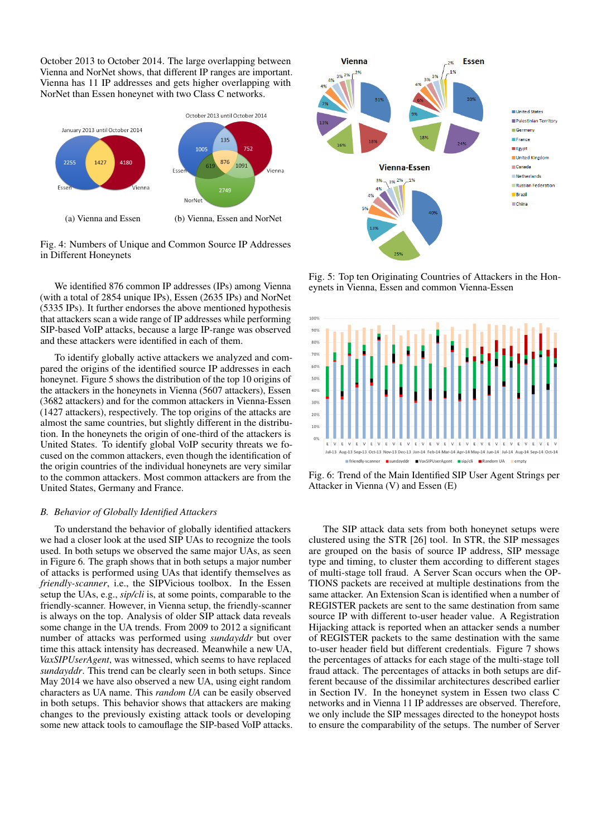October 2013 to October 2014. The large overlapping between Vienna and NorNet shows, that different IP ranges are important. Vienna has 11 IP addresses and gets higher overlapping with NorNet than Essen honeynet with two Class C networks.



Fig. 4: Numbers of Unique and Common Source IP Addresses in Different Honeynets

We identified 876 common IP addresses (IPs) among Vienna (with a total of 2854 unique IPs), Essen (2635 IPs) and NorNet (5335 IPs). It further endorses the above mentioned hypothesis that attackers scan a wide range of IP addresses while performing SIP-based VoIP attacks, because a large IP-range was observed and these attackers were identified in each of them.

To identify globally active attackers we analyzed and compared the origins of the identified source IP addresses in each honeynet. Figure 5 shows the distribution of the top 10 origins of the attackers in the honeynets in Vienna (5607 attackers), Essen (3682 attackers) and for the common attackers in Vienna-Essen (1427 attackers), respectively. The top origins of the attacks are almost the same countries, but slightly different in the distribution. In the honeynets the origin of one-third of the attackers is United States. To identify global VoIP security threats we focused on the common attackers, even though the identification of the origin countries of the individual honeynets are very similar to the common attackers. Most common attackers are from the United States, Germany and France.

## *B. Behavior of Globally Identified Attackers*

To understand the behavior of globally identified attackers we had a closer look at the used SIP UAs to recognize the tools used. In both setups we observed the same major UAs, as seen in Figure 6. The graph shows that in both setups a major number of attacks is performed using UAs that identify themselves as *friendly-scanner*, i.e., the SIPVicious toolbox. In the Essen setup the UAs, e.g., *sip/cli* is, at some points, comparable to the friendly-scanner. However, in Vienna setup, the friendly-scanner is always on the top. Analysis of older SIP attack data reveals some change in the UA trends. From 2009 to 2012 a significant number of attacks was performed using *sundayddr* but over time this attack intensity has decreased. Meanwhile a new UA, *VaxSIPUserAgent*, was witnessed, which seems to have replaced *sundayddr*. This trend can be clearly seen in both setups. Since May 2014 we have also observed a new UA, using eight random characters as UA name. This *random UA* can be easily observed in both setups. This behavior shows that attackers are making changes to the previously existing attack tools or developing some new attack tools to camouflage the SIP-based VoIP attacks.



Fig. 5: Top ten Originating Countries of Attackers in the Honeynets in Vienna, Essen and common Vienna-Essen



Fig. 6: Trend of the Main Identified SIP User Agent Strings per Attacker in Vienna (V) and Essen (E)

The SIP attack data sets from both honeynet setups were clustered using the STR [26] tool. In STR, the SIP messages are grouped on the basis of source IP address, SIP message type and timing, to cluster them according to different stages of multi-stage toll fraud. A Server Scan occurs when the OP-TIONS packets are received at multiple destinations from the same attacker. An Extension Scan is identified when a number of REGISTER packets are sent to the same destination from same source IP with different to-user header value. A Registration Hijacking attack is reported when an attacker sends a number of REGISTER packets to the same destination with the same to-user header field but different credentials. Figure 7 shows the percentages of attacks for each stage of the multi-stage toll fraud attack. The percentages of attacks in both setups are different because of the dissimilar architectures described earlier in Section IV. In the honeynet system in Essen two class C networks and in Vienna 11 IP addresses are observed. Therefore, we only include the SIP messages directed to the honeypot hosts to ensure the comparability of the setups. The number of Server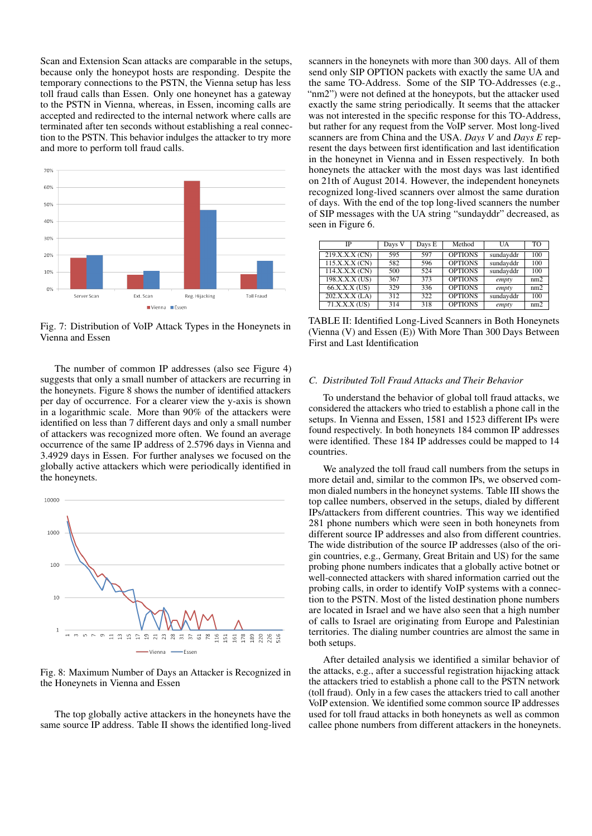Scan and Extension Scan attacks are comparable in the setups, because only the honeypot hosts are responding. Despite the temporary connections to the PSTN, the Vienna setup has less toll fraud calls than Essen. Only one honeynet has a gateway to the PSTN in Vienna, whereas, in Essen, incoming calls are accepted and redirected to the internal network where calls are terminated after ten seconds without establishing a real connection to the PSTN. This behavior indulges the attacker to try more and more to perform toll fraud calls.



Fig. 7: Distribution of VoIP Attack Types in the Honeynets in Vienna and Essen

The number of common IP addresses (also see Figure 4) suggests that only a small number of attackers are recurring in the honeynets. Figure 8 shows the number of identified attackers per day of occurrence. For a clearer view the y-axis is shown in a logarithmic scale. More than 90% of the attackers were identified on less than 7 different days and only a small number of attackers was recognized more often. We found an average occurrence of the same IP address of 2.5796 days in Vienna and 3.4929 days in Essen. For further analyses we focused on the globally active attackers which were periodically identified in the honeynets.



Fig. 8: Maximum Number of Days an Attacker is Recognized in the Honeynets in Vienna and Essen

The top globally active attackers in the honeynets have the same source IP address. Table II shows the identified long-lived scanners in the honeynets with more than 300 days. All of them send only SIP OPTION packets with exactly the same UA and the same TO-Address. Some of the SIP TO-Addresses (e.g., "nm2") were not defined at the honeypots, but the attacker used exactly the same string periodically. It seems that the attacker was not interested in the specific response for this TO-Address, but rather for any request from the VoIP server. Most long-lived scanners are from China and the USA. *Days V* and *Days E* represent the days between first identification and last identification in the honeynet in Vienna and in Essen respectively. In both honeynets the attacker with the most days was last identified on 21th of August 2014. However, the independent honeynets recognized long-lived scanners over almost the same duration of days. With the end of the top long-lived scanners the number of SIP messages with the UA string "sundayddr" decreased, as seen in Figure 6.

| ΙP               | Days V | Days E | Method         | <b>UA</b> | TO  |
|------------------|--------|--------|----------------|-----------|-----|
| 219.X.X.X (CN)   | 595    | 597    | <b>OPTIONS</b> | sundayddr | 100 |
| 115.X.X.X (CN)   | 582    | 596    | <b>OPTIONS</b> | sundayddr | 100 |
| $114.X.X.X$ (CN) | 500    | 524    | <b>OPTIONS</b> | sundayddr | 100 |
| 198.X.X.X (US)   | 367    | 373    | <b>OPTIONS</b> | empty     | nm2 |
| 66.X.X.X (US)    | 329    | 336    | <b>OPTIONS</b> | empty     | nm2 |
| 202.X.X.X (LA)   | 312    | 322    | <b>OPTIONS</b> | sundayddr | 100 |
| 71.X.X.X (US)    | 314    | 318    | <b>OPTIONS</b> | empty     | nm2 |

TABLE II: Identified Long-Lived Scanners in Both Honeynets (Vienna (V) and Essen (E)) With More Than 300 Days Between First and Last Identification

#### *C. Distributed Toll Fraud Attacks and Their Behavior*

To understand the behavior of global toll fraud attacks, we considered the attackers who tried to establish a phone call in the setups. In Vienna and Essen, 1581 and 1523 different IPs were found respectively. In both honeynets 184 common IP addresses were identified. These 184 IP addresses could be mapped to 14 countries.

We analyzed the toll fraud call numbers from the setups in more detail and, similar to the common IPs, we observed common dialed numbers in the honeynet systems. Table III shows the top callee numbers, observed in the setups, dialed by different IPs/attackers from different countries. This way we identified 281 phone numbers which were seen in both honeynets from different source IP addresses and also from different countries. The wide distribution of the source IP addresses (also of the origin countries, e.g., Germany, Great Britain and US) for the same probing phone numbers indicates that a globally active botnet or well-connected attackers with shared information carried out the probing calls, in order to identify VoIP systems with a connection to the PSTN. Most of the listed destination phone numbers are located in Israel and we have also seen that a high number of calls to Israel are originating from Europe and Palestinian territories. The dialing number countries are almost the same in both setups.

After detailed analysis we identified a similar behavior of the attacks, e.g., after a successful registration hijacking attack the attackers tried to establish a phone call to the PSTN network (toll fraud). Only in a few cases the attackers tried to call another VoIP extension. We identified some common source IP addresses used for toll fraud attacks in both honeynets as well as common callee phone numbers from different attackers in the honeynets.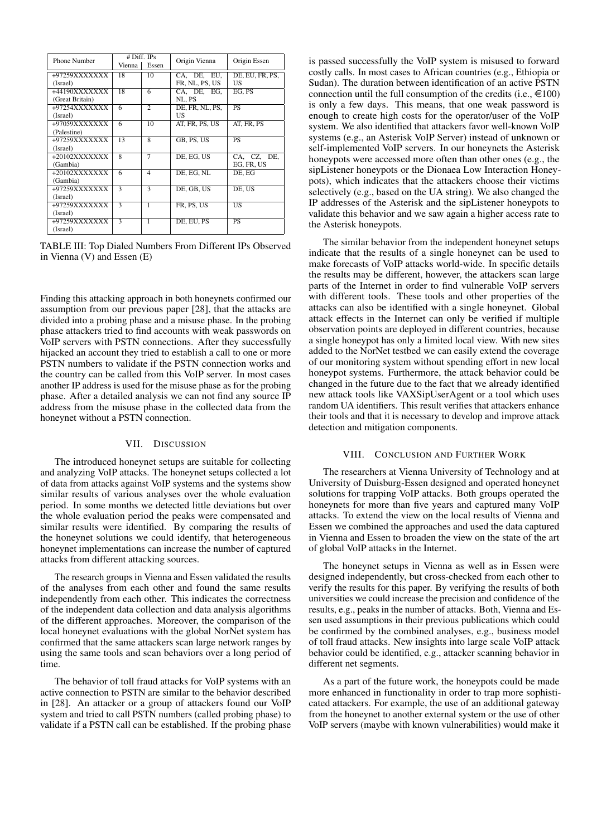|                     | # Diff. IPs              |                |                                 |                 |  |
|---------------------|--------------------------|----------------|---------------------------------|-----------------|--|
| <b>Phone Number</b> | Vienna                   | Essen          | Origin Vienna                   | Origin Essen    |  |
| +97259XXXXXXX       | 18                       | 10             | CA, DE, EU,                     | DE, EU, FR, PS, |  |
| (Israel)            |                          |                | FR, NL, PS, US                  | US              |  |
| +44190XXXXXXX       | 18                       | 6              | CA, DE, EG,                     | EG. PS          |  |
| (Great Britain)     |                          |                | NL. PS                          |                 |  |
| +97254XXXXXXX       | 6                        | $\overline{2}$ | DE, FR, NL, PS,                 | <b>PS</b>       |  |
| (Israel)            |                          |                | US                              |                 |  |
| +97059XXXXXXX       | 6                        | 10             | AT, FR, PS, US                  | AT. FR. PS      |  |
| (Palestine)         |                          |                |                                 |                 |  |
| +97259XXXXXXX       | 13                       | $\overline{8}$ | GB, PS, US                      | PS              |  |
| (Israel)            |                          |                |                                 |                 |  |
| $+20102XXXXXX$      | 8                        | 7              | DE, EG, US                      | CA, CZ, DE,     |  |
| (Gambia)            |                          |                |                                 | EG, FR, US      |  |
| $+20102XXXXXX$      | 6                        | $\overline{4}$ | DE, EG, NL                      | DE. EG          |  |
| (Gambia)            |                          |                |                                 |                 |  |
| +97259XXXXXXX       | 3                        | 3              | DE, GB, US                      | DE. US          |  |
| (Israel)            |                          |                |                                 |                 |  |
| +97259XXXXXXX       | 3                        | 1              | $\overline{\text{FR}}$ , PS, US | US              |  |
| (Israel)            |                          |                |                                 |                 |  |
| +97259XXXXXXX       | $\overline{\mathcal{E}}$ | 1              | DE. EU. PS                      | PS              |  |
| (Israel)            |                          |                |                                 |                 |  |

TABLE III: Top Dialed Numbers From Different IPs Observed in Vienna (V) and Essen (E)

Finding this attacking approach in both honeynets confirmed our assumption from our previous paper [28], that the attacks are divided into a probing phase and a misuse phase. In the probing phase attackers tried to find accounts with weak passwords on VoIP servers with PSTN connections. After they successfully hijacked an account they tried to establish a call to one or more PSTN numbers to validate if the PSTN connection works and the country can be called from this VoIP server. In most cases another IP address is used for the misuse phase as for the probing phase. After a detailed analysis we can not find any source IP address from the misuse phase in the collected data from the honeynet without a PSTN connection.

#### VII. DISCUSSION

The introduced honeynet setups are suitable for collecting and analyzing VoIP attacks. The honeynet setups collected a lot of data from attacks against VoIP systems and the systems show similar results of various analyses over the whole evaluation period. In some months we detected little deviations but over the whole evaluation period the peaks were compensated and similar results were identified. By comparing the results of the honeynet solutions we could identify, that heterogeneous honeynet implementations can increase the number of captured attacks from different attacking sources.

The research groups in Vienna and Essen validated the results of the analyses from each other and found the same results independently from each other. This indicates the correctness of the independent data collection and data analysis algorithms of the different approaches. Moreover, the comparison of the local honeynet evaluations with the global NorNet system has confirmed that the same attackers scan large network ranges by using the same tools and scan behaviors over a long period of time.

The behavior of toll fraud attacks for VoIP systems with an active connection to PSTN are similar to the behavior described in [28]. An attacker or a group of attackers found our VoIP system and tried to call PSTN numbers (called probing phase) to validate if a PSTN call can be established. If the probing phase is passed successfully the VoIP system is misused to forward costly calls. In most cases to African countries (e.g., Ethiopia or Sudan). The duration between identification of an active PSTN connection until the full consumption of the credits (i.e.,  $\in$ 100) is only a few days. This means, that one weak password is enough to create high costs for the operator/user of the VoIP system. We also identified that attackers favor well-known VoIP systems (e.g., an Asterisk VoIP Server) instead of unknown or self-implemented VoIP servers. In our honeynets the Asterisk honeypots were accessed more often than other ones (e.g., the sipListener honeypots or the Dionaea Low Interaction Honeypots), which indicates that the attackers choose their victims selectively (e.g., based on the UA string). We also changed the IP addresses of the Asterisk and the sipListener honeypots to validate this behavior and we saw again a higher access rate to the Asterisk honeypots.

The similar behavior from the independent honeynet setups indicate that the results of a single honeynet can be used to make forecasts of VoIP attacks world-wide. In specific details the results may be different, however, the attackers scan large parts of the Internet in order to find vulnerable VoIP servers with different tools. These tools and other properties of the attacks can also be identified with a single honeynet. Global attack effects in the Internet can only be verified if multiple observation points are deployed in different countries, because a single honeypot has only a limited local view. With new sites added to the NorNet testbed we can easily extend the coverage of our monitoring system without spending effort in new local honeypot systems. Furthermore, the attack behavior could be changed in the future due to the fact that we already identified new attack tools like VAXSipUserAgent or a tool which uses random UA identifiers. This result verifies that attackers enhance their tools and that it is necessary to develop and improve attack detection and mitigation components.

#### VIII. CONCLUSION AND FURTHER WORK

The researchers at Vienna University of Technology and at University of Duisburg-Essen designed and operated honeynet solutions for trapping VoIP attacks. Both groups operated the honeynets for more than five years and captured many VoIP attacks. To extend the view on the local results of Vienna and Essen we combined the approaches and used the data captured in Vienna and Essen to broaden the view on the state of the art of global VoIP attacks in the Internet.

The honeynet setups in Vienna as well as in Essen were designed independently, but cross-checked from each other to verify the results for this paper. By verifying the results of both universities we could increase the precision and confidence of the results, e.g., peaks in the number of attacks. Both, Vienna and Essen used assumptions in their previous publications which could be confirmed by the combined analyses, e.g., business model of toll fraud attacks. New insights into large scale VoIP attack behavior could be identified, e.g., attacker scanning behavior in different net segments.

As a part of the future work, the honeypots could be made more enhanced in functionality in order to trap more sophisticated attackers. For example, the use of an additional gateway from the honeynet to another external system or the use of other VoIP servers (maybe with known vulnerabilities) would make it